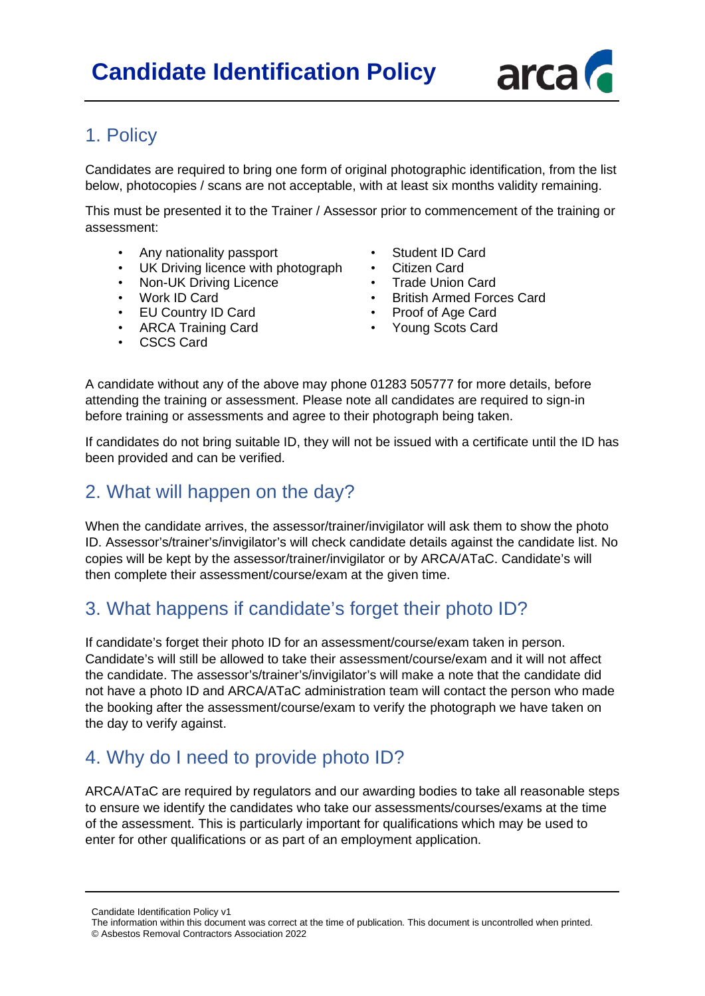

## 1. Policy

Candidates are required to bring one form of original photographic identification, from the list below, photocopies / scans are not acceptable, with at least six months validity remaining.

This must be presented it to the Trainer / Assessor prior to commencement of the training or assessment:

- Any nationality passport
- UK Driving licence with photograph
- Non-UK Driving Licence
- Work ID Card
- EU Country ID Card
- ARCA Training Card
- Student ID Card
- Citizen Card
- Trade Union Card<br>• British Armed Ford
- British Armed Forces Card
- Proof of Age Card
- Young Scots Card

CSCS Card

A candidate without any of the above may phone 01283 505777 for more details, before attending the training or assessment. Please note all candidates are required to sign-in before training or assessments and agree to their photograph being taken.

If candidates do not bring suitable ID, they will not be issued with a certificate until the ID has been provided and can be verified.

#### 2. What will happen on the day?

When the candidate arrives, the assessor/trainer/invigilator will ask them to show the photo ID. Assessor's/trainer's/invigilator's will check candidate details against the candidate list. No copies will be kept by the assessor/trainer/invigilator or by ARCA/ATaC. Candidate's will then complete their assessment/course/exam at the given time.

## 3. What happens if candidate's forget their photo ID?

If candidate's forget their photo ID for an assessment/course/exam taken in person. Candidate's will still be allowed to take their assessment/course/exam and it will not affect the candidate. The assessor's/trainer's/invigilator's will make a note that the candidate did not have a photo ID and ARCA/ATaC administration team will contact the person who made the booking after the assessment/course/exam to verify the photograph we have taken on the day to verify against.

## 4. Why do I need to provide photo ID?

ARCA/ATaC are required by regulators and our awarding bodies to take all reasonable steps to ensure we identify the candidates who take our assessments/courses/exams at the time of the assessment. This is particularly important for qualifications which may be used to enter for other qualifications or as part of an employment application.

Candidate Identification Policy v1

The information within this document was correct at the time of publication. This document is uncontrolled when printed. © Asbestos Removal Contractors Association 2022